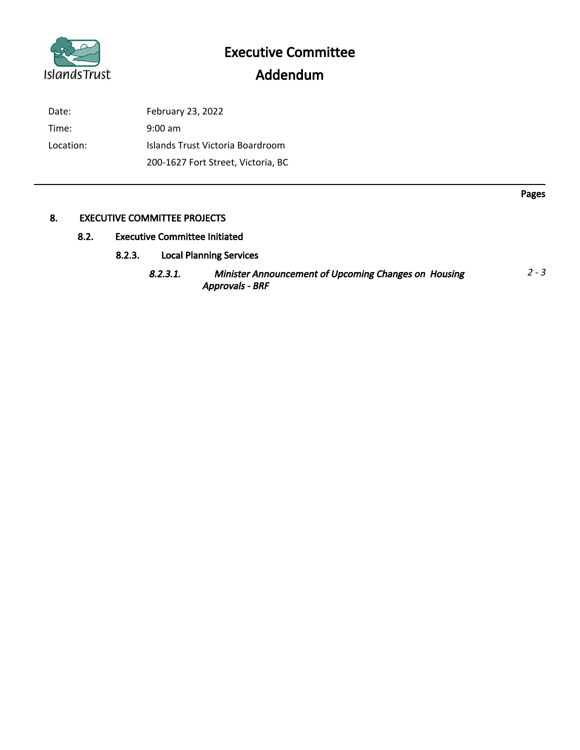

Date: February 23, 2022 Time: 9:00 am Location: Islands Trust Victoria Boardroom 200-1627 Fort Street, Victoria, BC

## 8. EXECUTIVE COMMITTEE PROJECTS

# 8.2. Executive Committee Initiated

- 8.2.3. Local Planning Services
	- 8.2.3.1. Minister Announcement of Upcoming Changes on Housing Approvals - BRF  $2 - 3$

Pages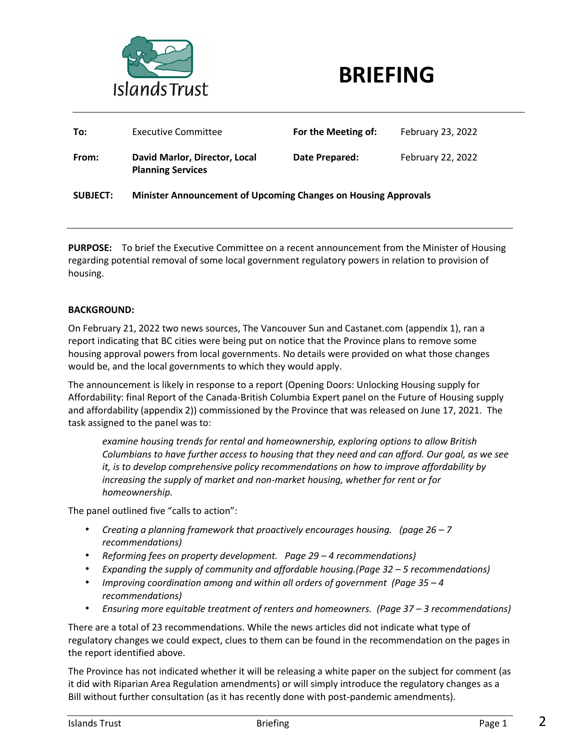



| To:             | <b>Executive Committee</b>                                            | For the Meeting of: | February 23, 2022 |
|-----------------|-----------------------------------------------------------------------|---------------------|-------------------|
| From:           | David Marlor, Director, Local<br><b>Planning Services</b>             | Date Prepared:      | February 22, 2022 |
| <b>SUBJECT:</b> | <b>Minister Announcement of Upcoming Changes on Housing Approvals</b> |                     |                   |

**PURPOSE:** To brief the Executive Committee on a recent announcement from the Minister of Housing regarding potential removal of some local government regulatory powers in relation to provision of housing.

#### **BACKGROUND:**

On February 21, 2022 two news sources, The Vancouver Sun and Castanet.com (appendix 1), ran a report indicating that BC cities were being put on notice that the Province plans to remove some housing approval powers from local governments. No details were provided on what those changes would be, and the local governments to which they would apply.

The announcement is likely in response to a report (Opening Doors: Unlocking Housing supply for Affordability: final Report of the Canada-British Columbia Expert panel on the Future of Housing supply and affordability (appendix 2)) commissioned by the Province that was released on June 17, 2021. The task assigned to the panel was to:

*examine housing trends for rental and homeownership, exploring options to allow British Columbians to have further access to housing that they need and can afford. Our goal, as we see it, is to develop comprehensive policy recommendations on how to improve affordability by*  increasing the supply of market and non-market housing, whether for rent or for *homeownership.*

The panel outlined five "calls to action":

- *Creating a planning framework that proactively encourages housing. (page 26 – 7 recommendations)*
- *Reforming fees on property development. Page 29 – 4 recommendations)*
- *Expanding the supply of community and affordable housing.(Page 32 – 5 recommendations)*
- *Improving coordination among and within all orders of government (Page 35 – 4 recommendations)*
- *Ensuring more equitable treatment of renters and homeowners. (Page 37 – 3 recommendations)*

There are a total of 23 recommendations. While the news articles did not indicate what type of regulatory changes we could expect, clues to them can be found in the recommendation on the pages in the report identified above.

The Province has not indicated whether it will be releasing a white paper on the subject for comment (as it did with Riparian Area Regulation amendments) or will simply introduce the regulatory changes as a Bill without further consultation (as it has recently done with post-pandemic amendments).

2